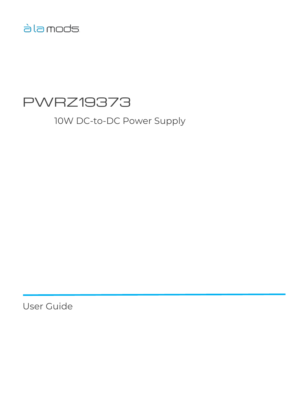# àla mods

# PWRZ19373

10W DC-to-DC Power Supply

User Guide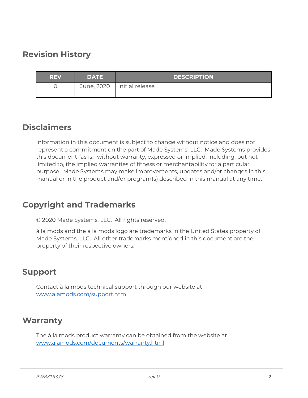# <span id="page-1-0"></span>**Revision History**

| <b>REV</b> | <b>DATE</b> | <b>DESCRIPTION</b>           |
|------------|-------------|------------------------------|
|            |             | June, 2020   Initial release |
|            |             |                              |

### <span id="page-1-1"></span>**Disclaimers**

Information in this document is subject to change without notice and does not represent a commitment on the part of Made Systems, LLC. Made Systems provides this document "as is," without warranty, expressed or implied, including, but not limited to, the implied warranties of fitness or merchantability for a particular purpose. Made Systems may make improvements, updates and/or changes in this manual or in the product and/or program(s) described in this manual at any time.

# <span id="page-1-2"></span>**Copyright and Trademarks**

© 2020 Made Systems, LLC. All rights reserved.

à la mods and the à la mods logo are trademarks in the United States property of Made Systems, LLC. All other trademarks mentioned in this document are the property of their respective owners.

### <span id="page-1-3"></span>**Support**

Contact à la mods technical support through our website at [www.alamods.com/support.html](http://www.alamods.com/support.html)

### <span id="page-1-4"></span>**Warranty**

The à la mods product warranty can be obtained from the website at [www.alamods.com/documents/warranty.html](http://www.alamods.com/documents/warranty.html)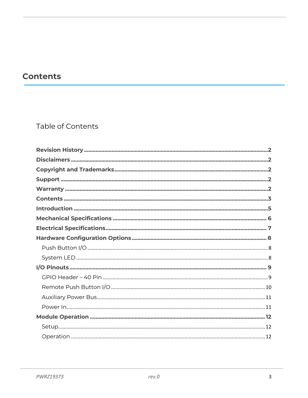# <span id="page-2-0"></span>**Contents**

### Table of Contents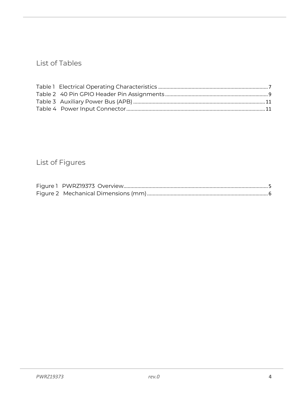### List of Tables

# List of Figures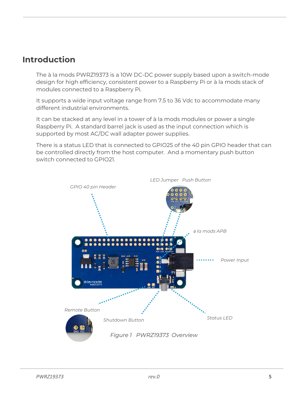### <span id="page-4-0"></span>**Introduction**

The à la mods PWRZ19373 is a 10W DC-DC power supply based upon a switch-mode design for high efficiency, consistent power to a Raspberry Pi or à la mods stack of modules connected to a Raspberry Pi.

It supports a wide input voltage range from 7.5 to 36 Vdc to accommodate many different industrial environments.

It can be stacked at any level in a tower of à la mods modules or power a single Raspberry Pi. A standard barrel jack is used as the input connection which is supported by most AC/DC wall adapter power supplies.

There is a status LED that is connected to GPIO25 of the 40 pin GPIO header that can be controlled directly from the host computer. And a momentary push button switch connected to GPIO21.

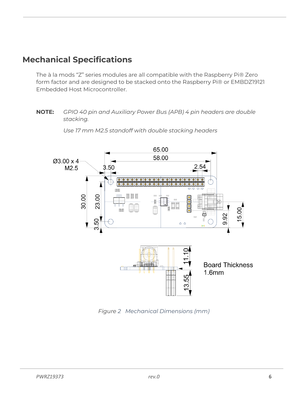# <span id="page-5-0"></span>**Mechanical Specifications**

The à la mods "Z" series modules are all compatible with the Raspberry Pi® Zero form factor and are designed to be stacked onto the Raspberry Pi® or EMBDZ19121 Embedded Host Microcontroller.

#### **NOTE:** *GPIO 40 pin and Auxiliary Power Bus (APB) 4 pin headers are double stacking.*



*Use 17 mm M2.5 standoff with double stacking headers*

<span id="page-5-1"></span>*Figure 2 Mechanical Dimensions (mm)*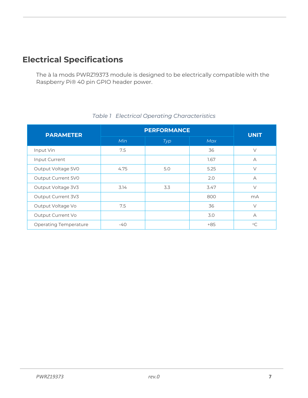# <span id="page-6-0"></span>**Electrical Specifications**

The à la mods PWRZ19373 module is designed to be electrically compatible with the Raspberry Pi® 40 pin GPIO header power.

<span id="page-6-1"></span>

| <b>PARAMETER</b>             | <b>PERFORMANCE</b> |     |            | <b>UNIT</b> |  |
|------------------------------|--------------------|-----|------------|-------------|--|
|                              | Min                | Typ | <b>Max</b> |             |  |
| Input Vin                    | 7.5                |     | 36         | $\vee$      |  |
| Input Current                |                    |     | 1.67       | $\forall$   |  |
| Output Voltage 5V0           | 4.75               | 5.0 | 5.25       | $\vee$      |  |
| Output Current 5V0           |                    |     | 2.0        | $\forall$   |  |
| Output Voltage 3V3           | 3.14               | 3.3 | 3.47       | $\vee$      |  |
| Output Current 3V3           |                    |     | 800        | mA          |  |
| Output Voltage Vo            | 7.5                |     | 36         | $\vee$      |  |
| Output Current Vo            |                    |     | 3.0        | $\forall$   |  |
| <b>Operating Temperature</b> | $-40$              |     | $+85$      | $^{\circ}C$ |  |

#### *Table 1 Electrical Operating Characteristics*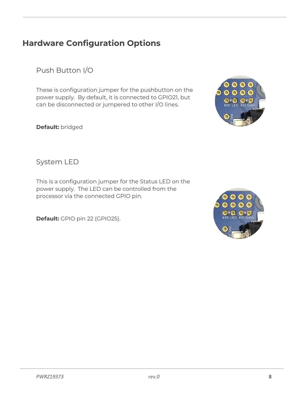# <span id="page-7-0"></span>**Hardware Configuration Options**

<span id="page-7-1"></span>Push Button I/O

These is configuration jumper for the pushbutton on the power supply. By default, it is connected to GPIO21, but can be disconnected or jumpered to other I/O lines.

**Default:** bridged



<span id="page-7-2"></span>System LED

This is a configuration jumper for the Status LED on the power supply. The LED can be controlled from the processor via the connected GPIO pin.

**Default:** GPIO pin 22 (GPIO25).

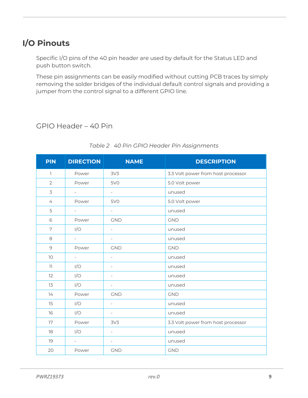# <span id="page-8-0"></span>**I/O Pinouts**

Specific I/O pins of the 40 pin header are used by default for the Status LED and push button switch.

These pin assignments can be easily modified without cutting PCB traces by simply removing the solder bridges of the individual default control signals and providing a jumper from the control signal to a different GPIO line.

#### <span id="page-8-1"></span>GPIO Header – 40 Pin

<span id="page-8-2"></span>

| <b>PIN</b>     | <b>DIRECTION</b>         | <b>NAME</b>              | <b>DESCRIPTION</b>                 |
|----------------|--------------------------|--------------------------|------------------------------------|
| $\mathbb{I}$   | Power                    | 3V <sub>3</sub>          | 3.3 Volt power from host processor |
| $\overline{2}$ | Power                    | <b>5V0</b>               | 5.0 Volt power                     |
| 3              | $\overline{\phantom{a}}$ | $\overline{\phantom{a}}$ | unused                             |
| 4              | Power                    | 5V <sub>O</sub>          | 5.0 Volt power                     |
| 5              | $ \,$                    | $-$                      | unused                             |
| 6              | Power                    | <b>GND</b>               | <b>GND</b>                         |
| 7              | I/O                      | $\overline{\phantom{a}}$ | unused                             |
| 8              | $\overline{\phantom{a}}$ | $\overline{\phantom{a}}$ | unused                             |
| $\mathcal{G}$  | Power                    | <b>GND</b>               | <b>GND</b>                         |
| 10             | $\overline{\phantom{a}}$ | $\overline{\phantom{a}}$ | unused                             |
| 11             | I/O                      | $\overline{\phantom{0}}$ | unused                             |
| 12             | I/O                      | $\overline{\phantom{0}}$ | unused                             |
| 13             | I/O                      | $\overline{\phantom{a}}$ | unused                             |
| 14             | Power                    | <b>GND</b>               | <b>GND</b>                         |
| 15             | I/O                      | $\equiv$                 | unused                             |
| 16             | I/O                      | $\overline{\phantom{a}}$ | unused                             |
| 17             | Power                    | 3V <sub>3</sub>          | 3.3 Volt power from host processor |
| 18             | I/O                      | $\overline{\phantom{a}}$ | unused                             |
| 19             | $\overline{\phantom{a}}$ | $\overline{\phantom{a}}$ | unused                             |
| 20             | Power                    | <b>GND</b>               | <b>GND</b>                         |

#### *Table 2 40 Pin GPIO Header Pin Assignments*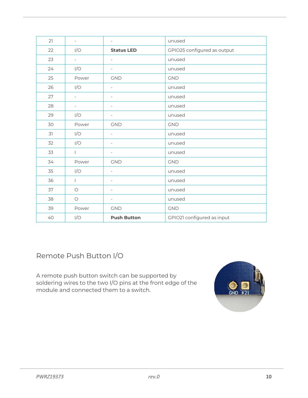| 21 | $\overline{\phantom{a}}$ | $\overline{\phantom{a}}$ | unused                      |
|----|--------------------------|--------------------------|-----------------------------|
| 22 | I/O                      | <b>Status LED</b>        | GPIO25 configured as output |
| 23 | $\overline{\phantom{0}}$ | $\overline{\phantom{a}}$ | unused                      |
| 24 | I/O                      | $\overline{\phantom{a}}$ | unused                      |
| 25 | Power                    | <b>GND</b>               | <b>GND</b>                  |
| 26 | I/O                      | $\overline{\phantom{a}}$ | unused                      |
| 27 | $\overline{\phantom{a}}$ | $\overline{\phantom{a}}$ | unused                      |
| 28 | $\overline{\phantom{a}}$ | $\overline{\phantom{a}}$ | unused                      |
| 29 | I/O                      | $\overline{\phantom{a}}$ | unused                      |
| 30 | Power                    | <b>GND</b>               | <b>GND</b>                  |
| 31 | I/O                      | $\overline{\phantom{a}}$ | unused                      |
| 32 | I/O                      | $\overline{\phantom{a}}$ | unused                      |
| 33 | $\mathbf{L}$             | $\overline{\phantom{a}}$ | unused                      |
| 34 | Power                    | <b>GND</b>               | <b>GND</b>                  |
| 35 | I/O                      | $\overline{\phantom{a}}$ | unused                      |
| 36 | $\mathbf{L}$             | $\overline{\phantom{a}}$ | unused                      |
| 37 | $\circ$                  | $\overline{\phantom{a}}$ | unused                      |
| 38 | $\bigcirc$               | $\overline{\phantom{a}}$ | unused                      |
| 39 | Power                    | GND                      | <b>GND</b>                  |
| 40 | I/O                      | <b>Push Button</b>       | GPIO21 configured as input  |

<span id="page-9-0"></span>Remote Push Button I/O

A remote push button switch can be supported by soldering wires to the two I/O pins at the front edge of the module and connected them to a switch.

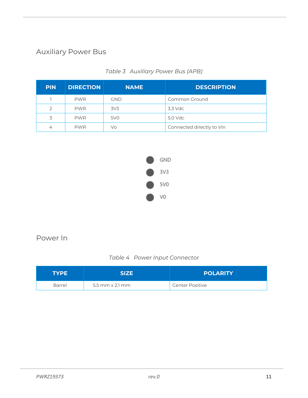### <span id="page-10-0"></span>Auxiliary Power Bus

<span id="page-10-2"></span>

| <b>PIN</b> | <b>DIRECTION</b> | <b>NAME</b>     | <b>DESCRIPTION</b>        |
|------------|------------------|-----------------|---------------------------|
|            | <b>PWR</b>       | <b>GND</b>      | Common Ground             |
| 2          | <b>PWR</b>       | 3V <sub>3</sub> | 3.3 Vdc                   |
| 3          | <b>PWR</b>       | 5V <sub>0</sub> | 5.0 Vdc                   |
| 4          | <b>PWR</b>       | Vo              | Connected directly to Vin |

#### *Table 3 Auxiliary Power Bus (APB)*



#### <span id="page-10-1"></span>Power In

#### *Table 4 Power Input Connector*

<span id="page-10-3"></span>

| TYPE.  | <b>SIZE</b>     | <b>POLARITY</b>        |
|--------|-----------------|------------------------|
| Barrel | 5.5 mm x 2.1 mm | <b>Center Positive</b> |